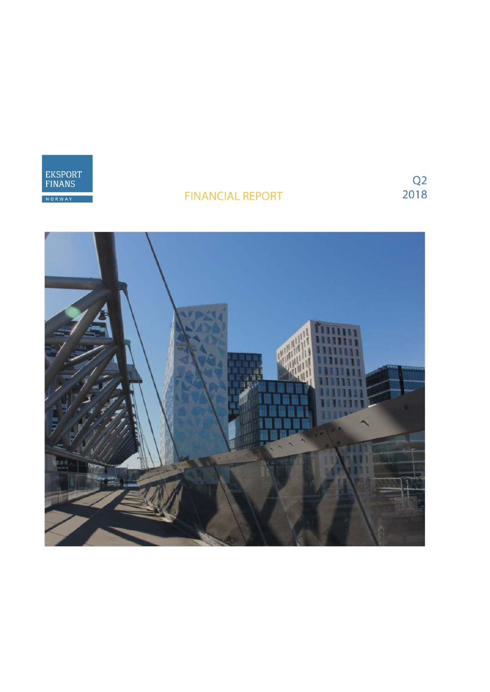

# **FINANCIAL REPORT**

 $\begin{array}{c} \text{Q2} \\ \text{2018} \end{array}$ 

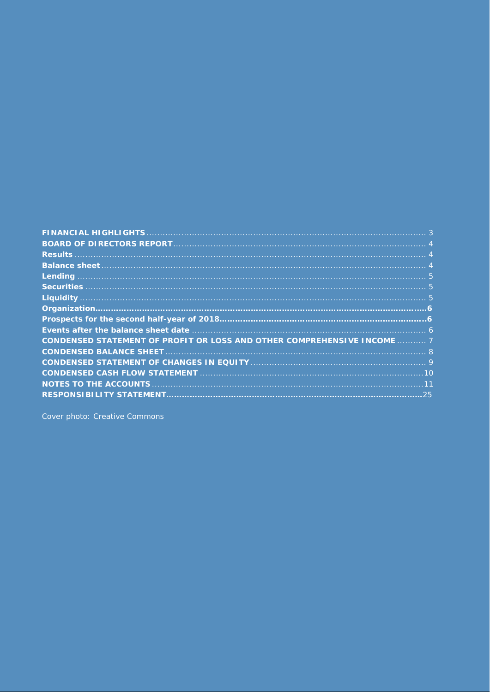|                                                                         | . 3              |
|-------------------------------------------------------------------------|------------------|
|                                                                         |                  |
|                                                                         |                  |
|                                                                         | $\blacktriangle$ |
|                                                                         |                  |
|                                                                         |                  |
|                                                                         | L5.              |
|                                                                         |                  |
|                                                                         |                  |
|                                                                         | -6               |
| CONDENSED STATEMENT OF PROFIT OR LOSS AND OTHER COMPREHENSIVE INCOME  7 |                  |
|                                                                         |                  |
|                                                                         |                  |
|                                                                         | .10              |
|                                                                         | 11               |
|                                                                         | 25               |

Cover photo: Creative Commons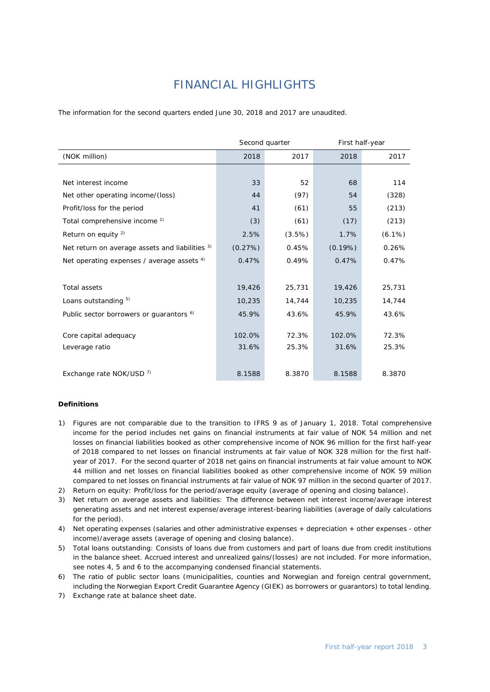# *FINANCIAL HIGHLIGHTS*

<span id="page-2-0"></span>The information for the second quarters ended June 30, 2018 and 2017 are unaudited.

|                                                     | Second quarter |        | First half-year |           |  |
|-----------------------------------------------------|----------------|--------|-----------------|-----------|--|
| (NOK million)                                       | 2018           | 2017   | 2018            | 2017      |  |
|                                                     |                |        |                 |           |  |
| Net interest income                                 | 33             | 52     | 68              | 114       |  |
| Net other operating income/(loss)                   | 44             | (97)   | 54              | (328)     |  |
| Profit/loss for the period                          | 41             | (61)   | 55              | (213)     |  |
| Total comprehensive income <sup>1)</sup>            | (3)            | (61)   | (17)            | (213)     |  |
| Return on equity $2$ )                              | 2.5%           | (3.5%) | 1.7%            | $(6.1\%)$ |  |
| Net return on average assets and liabilities 3)     | (0.27%)        | 0.45%  | (0.19%)         | 0.26%     |  |
| Net operating expenses / average assets $4$ )       | 0.47%          | 0.49%  | 0.47%           | 0.47%     |  |
|                                                     |                |        |                 |           |  |
| <b>Total assets</b>                                 | 19,426         | 25,731 | 19,426          | 25,731    |  |
| Loans outstanding 5)                                | 10,235         | 14,744 | 10,235          | 14,744    |  |
| Public sector borrowers or guarantors <sup>6)</sup> | 45.9%          | 43.6%  | 45.9%           | 43.6%     |  |
|                                                     |                |        |                 |           |  |
| Core capital adequacy                               | 102.0%         | 72.3%  | 102.0%          | 72.3%     |  |
| Leverage ratio                                      | 31.6%          | 25.3%  | 31.6%           | 25.3%     |  |
|                                                     |                |        |                 |           |  |
| Exchange rate NOK/USD 7)                            | 8.1588         | 8.3870 | 8.1588          | 8.3870    |  |

#### **Definitions**

- 1) Figures are not comparable due to the transition to IFRS 9 as of January 1, 2018. Total comprehensive income for the period includes net gains on financial instruments at fair value of NOK 54 million and net losses on financial liabilities booked as other comprehensive income of NOK 96 million for the first half-year of 2018 compared to net losses on financial instruments at fair value of NOK 328 million for the first halfyear of 2017. For the second quarter of 2018 net gains on financial instruments at fair value amount to NOK 44 million and net losses on financial liabilities booked as other comprehensive income of NOK 59 million compared to net losses on financial instruments at fair value of NOK 97 million in the second quarter of 2017.
- 2) Return on equity: Profit/loss for the period/average equity (average of opening and closing balance).
- 3) Net return on average assets and liabilities: The difference between net interest income/average interest generating assets and net interest expense/average interest-bearing liabilities (average of daily calculations for the period).
- 4) Net operating expenses (salaries and other administrative expenses + depreciation + other expenses other income)/average assets (average of opening and closing balance).
- 5) Total loans outstanding: Consists of loans due from customers and part of loans due from credit institutions in the balance sheet. Accrued interest and unrealized gains/(losses) are not included. For more information, see notes 4, 5 and 6 to the accompanying condensed financial statements.
- 6) The ratio of public sector loans (municipalities, counties and Norwegian and foreign central government, including the Norwegian Export Credit Guarantee Agency (GIEK) as borrowers or guarantors) to total lending.
- 7) Exchange rate at balance sheet date.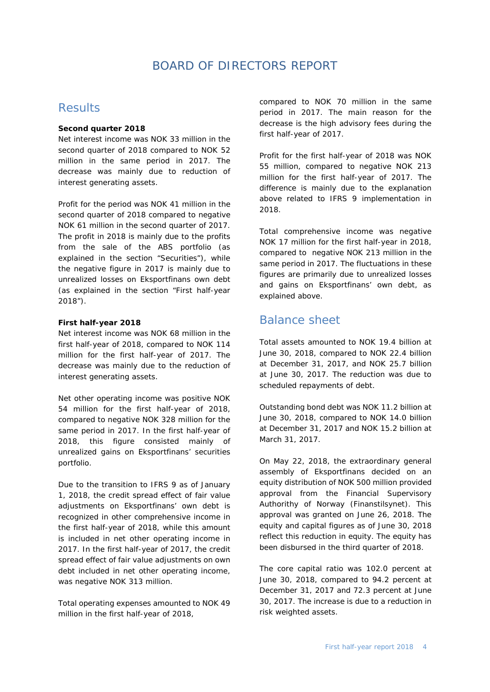### *BOARD OF DIRECTORS REPORT*

### <span id="page-3-1"></span><span id="page-3-0"></span>Results

### **Second quarter 2018**

Net interest income was NOK 33 million in the second quarter of 2018 compared to NOK 52 million in the same period in 2017. The decrease was mainly due to reduction of interest generating assets.

Profit for the period was NOK 41 million in the second quarter of 2018 compared to negative NOK 61 million in the second quarter of 2017. The profit in 2018 is mainly due to the profits from the sale of the ABS portfolio (as explained in the section "Securities"), while the negative figure in 2017 is mainly due to unrealized losses on Eksportfinans own debt (as explained in the section "First half-year 2018").

### **First half-year 2018**

Net interest income was NOK 68 million in the first half-year of 2018, compared to NOK 114 million for the first half-year of 2017. The decrease was mainly due to the reduction of interest generating assets.

Net other operating income was positive NOK 54 million for the first half-year of 2018, compared to negative NOK 328 million for the same period in 2017. In the first half-year of 2018, this figure consisted mainly of unrealized gains on Eksportfinans' securities portfolio.

Due to the transition to IFRS 9 as of January 1, 2018, the credit spread effect of fair value adjustments on Eksportfinans' own debt is recognized in other comprehensive income in the first half-year of 2018, while this amount is included in net other operating income in 2017. In the first half-year of 2017, the credit spread effect of fair value adjustments on own debt included in net other operating income, was negative NOK 313 million.

Total operating expenses amounted to NOK 49 million in the first half-year of 2018,

compared to NOK 70 million in the same period in 2017. The main reason for the decrease is the high advisory fees during the first half-year of 2017.

Profit for the first half-year of 2018 was NOK 55 million, compared to negative NOK 213 million for the first half-year of 2017. The difference is mainly due to the explanation above related to IFRS 9 implementation in 2018.

Total comprehensive income was negative NOK 17 million for the first half-year in 2018, compared to negative NOK 213 million in the same period in 2017. The fluctuations in these figures are primarily due to unrealized losses and gains on Eksportfinans' own debt, as explained above.

### <span id="page-3-2"></span>Balance sheet

Total assets amounted to NOK 19.4 billion at June 30, 2018, compared to NOK 22.4 billion at December 31, 2017, and NOK 25.7 billion at June 30, 2017. The reduction was due to scheduled repayments of debt.

Outstanding bond debt was NOK 11.2 billion at June 30, 2018, compared to NOK 14.0 billion at December 31, 2017 and NOK 15.2 billion at March 31, 2017.

On May 22, 2018, the extraordinary general assembly of Eksportfinans decided on an equity distribution of NOK 500 million provided approval from the Financial Supervisory Authorithy of Norway (Finanstilsynet). This approval was granted on June 26, 2018. The equity and capital figures as of June 30, 2018 reflect this reduction in equity. The equity has been disbursed in the third quarter of 2018.

<span id="page-3-3"></span>The core capital ratio was 102.0 percent at June 30, 2018, compared to 94.2 percent at December 31, 2017 and 72.3 percent at June 30, 2017. The increase is due to a reduction in risk weighted assets.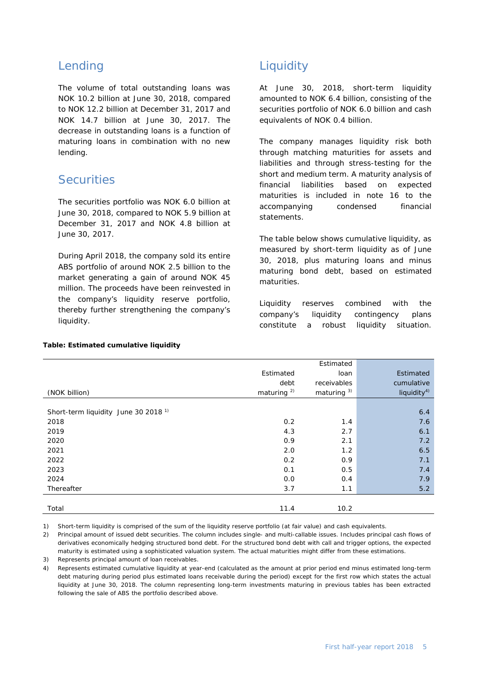### Lending

The volume of total outstanding loans was NOK 10.2 billion at June 30, 2018, compared to NOK 12.2 billion at December 31, 2017 and NOK 14.7 billion at June 30, 2017. The decrease in outstanding loans is a function of maturing loans in combination with no new lending.

### <span id="page-4-0"></span>**Securities**

The securities portfolio was NOK 6.0 billion at June 30, 2018, compared to NOK 5.9 billion at December 31, 2017 and NOK 4.8 billion at June 30, 2017.

During April 2018, the company sold its entire ABS portfolio of around NOK 2.5 billion to the market generating a gain of around NOK 45 million. The proceeds have been reinvested in the company's liquidity reserve portfolio, thereby further strengthening the company's liquidity.

### **Table: Estimated cumulative liquidity**

### <span id="page-4-1"></span>**Liquidity**

At June 30, 2018, short-term liquidity amounted to NOK 6.4 billion, consisting of the securities portfolio of NOK 6.0 billion and cash equivalents of NOK 0.4 billion.

The company manages liquidity risk both through matching maturities for assets and liabilities and through stress-testing for the short and medium term. A maturity analysis of financial liabilities based on expected maturities is included in note 16 to the accompanying condensed financial statements.

The table below shows cumulative liquidity, as measured by short-term liquidity as of June 30, 2018, plus maturing loans and minus maturing bond debt, based on estimated maturities.

Liquidity reserves combined with the company's liquidity contingency plans constitute a robust liquidity situation.

|                                                 |                        | Estimated              |                         |
|-------------------------------------------------|------------------------|------------------------|-------------------------|
|                                                 |                        |                        |                         |
|                                                 | Estimated              | loan                   | Estimated               |
|                                                 | debt                   | receivables            | cumulative              |
| (NOK billion)                                   | maturing <sup>2)</sup> | maturing <sup>3)</sup> | liquidity <sup>4)</sup> |
|                                                 |                        |                        |                         |
| Short-term liquidity June 30 2018 <sup>1)</sup> |                        |                        | 6.4                     |
| 2018                                            | 0.2                    | 1.4                    | 7.6                     |
| 2019                                            | 4.3                    | 2.7                    | 6.1                     |
| 2020                                            | 0.9                    | 2.1                    | 7.2                     |
| 2021                                            | 2.0                    | 1.2                    | 6.5                     |
| 2022                                            | 0.2                    | 0.9                    | 7.1                     |
| 2023                                            | 0.1                    | 0.5                    | 7.4                     |
| 2024                                            | 0.0                    | 0.4                    | 7.9                     |
| Thereafter                                      | 3.7                    | 1.1                    | $5.2$                   |
|                                                 |                        |                        |                         |
| Total                                           | 11.4                   | 10.2                   |                         |

1) Short-term liquidity is comprised of the sum of the liquidity reserve portfolio (at fair value) and cash equivalents.

2) Principal amount of issued debt securities. The column includes single- and multi-callable issues. Includes principal cash flows of derivatives economically hedging structured bond debt. For the structured bond debt with call and trigger options, the expected maturity is estimated using a sophisticated valuation system. The actual maturities might differ from these estimations.

3) Represents principal amount of loan receivables.

4) Represents estimated cumulative liquidity at year-end (calculated as the amount at prior period end minus estimated long-term debt maturing during period plus estimated loans receivable during the period) except for the first row which states the actual liquidity at June 30, 2018. The column representing long-term investments maturing in previous tables has been extracted following the sale of ABS the portfolio described above.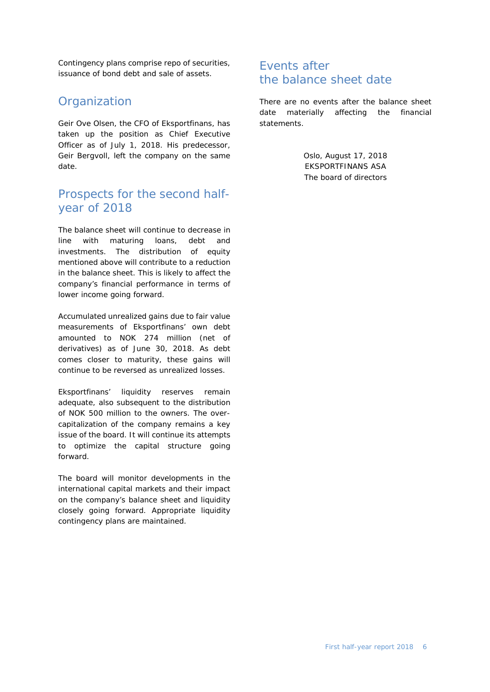Contingency plans comprise repo of securities, issuance of bond debt and sale of assets.

### **Organization**

Geir Ove Olsen, the CFO of Eksportfinans, has taken up the position as Chief Executive Officer as of July 1, 2018. His predecessor, Geir Bergvoll, left the company on the same date.

### Prospects for the second halfyear of 2018

The balance sheet will continue to decrease in line with maturing loans, debt and investments. The distribution of equity mentioned above will contribute to a reduction in the balance sheet. This is likely to affect the company's financial performance in terms of lower income going forward.

Accumulated unrealized gains due to fair value measurements of Eksportfinans' own debt amounted to NOK 274 million (net of derivatives) as of June 30, 2018. As debt comes closer to maturity, these gains will continue to be reversed as unrealized losses.

Eksportfinans' liquidity reserves remain adequate, also subsequent to the distribution of NOK 500 million to the owners. The overcapitalization of the company remains a key issue of the board. It will continue its attempts to optimize the capital structure going forward.

<span id="page-5-0"></span>The board will monitor developments in the international capital markets and their impact on the company's balance sheet and liquidity closely going forward. Appropriate liquidity contingency plans are maintained.

### Events after the balance sheet date

There are no events after the balance sheet date materially affecting the financial statements.

> Oslo, August 17, 2018 EKSPORTFINANS ASA The board of directors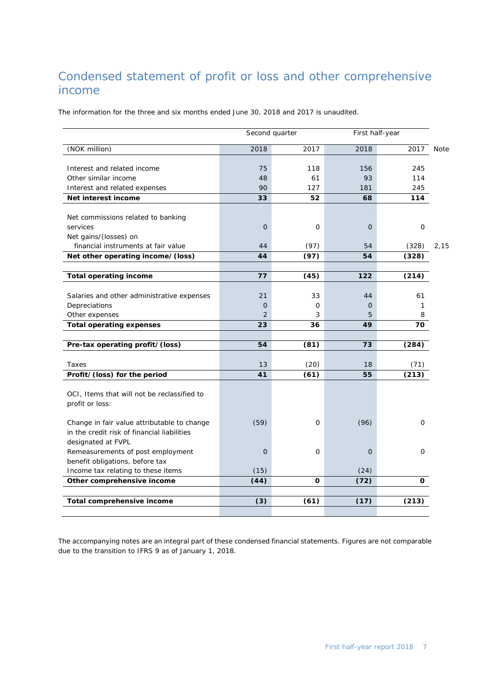# <span id="page-6-0"></span>Condensed statement of profit or loss and other comprehensive income

The information for the three and six months ended June 30, 2018 and 2017 is unaudited.

|                                                              |                | Second quarter | First half-year |       |             |
|--------------------------------------------------------------|----------------|----------------|-----------------|-------|-------------|
| (NOK million)                                                | 2018           | 2017           | 2018            | 2017  | <b>Note</b> |
|                                                              |                |                |                 |       |             |
| Interest and related income                                  | 75             | 118            | 156             | 245   |             |
| Other similar income                                         | 48             | 61             | 93              | 114   |             |
| Interest and related expenses                                | 90             | 127            | 181             | 245   |             |
| Net interest income                                          | 33             | 52             | 68              | 114   |             |
|                                                              |                |                |                 |       |             |
| Net commissions related to banking<br>services               | $\overline{O}$ | 0              | $\overline{O}$  | 0     |             |
|                                                              |                |                |                 |       |             |
| Net gains/(losses) on<br>financial instruments at fair value | 44             | (97)           | 54              | (328) | 2,15        |
| Net other operating income/(loss)                            | 44             | (97)           | 54              | (328) |             |
|                                                              |                |                |                 |       |             |
| <b>Total operating income</b>                                | 77             | (45)           | 122             | (214) |             |
|                                                              |                |                |                 |       |             |
| Salaries and other administrative expenses                   | 21             | 33             | 44              | 61    |             |
| Depreciations                                                | 0              | O              | $\overline{O}$  | 1     |             |
| Other expenses                                               | 2              | 3              | 5               | 8     |             |
| <b>Total operating expenses</b>                              | 23             | 36             | 49              | 70    |             |
|                                                              |                |                |                 |       |             |
| Pre-tax operating profit/(loss)                              | 54             | (81)           | 73              | (284) |             |
|                                                              |                |                |                 |       |             |
| Taxes                                                        | 13             | (20)           | 18              | (71)  |             |
| Profit/(loss) for the period                                 | 41             | (61)           | 55              | (213) |             |
|                                                              |                |                |                 |       |             |
| OCI, Items that will not be reclassified to                  |                |                |                 |       |             |
| profit or loss:                                              |                |                |                 |       |             |
|                                                              |                |                |                 |       |             |
| Change in fair value attributable to change                  | (59)           | 0              | (96)            | 0     |             |
| in the credit risk of financial liabilities                  |                |                |                 |       |             |
| designated at FVPL                                           |                |                |                 |       |             |
| Remeasurements of post employment                            | $\Omega$       | 0              | $\overline{O}$  | 0     |             |
| benefit obligations, before tax                              |                |                |                 |       |             |
| Income tax relating to these items                           | (15)           |                | (24)            |       |             |
| Other comprehensive income                                   | (44)           | O              | (72)            | 0     |             |
|                                                              |                |                |                 |       |             |
| Total comprehensive income                                   | (3)            | (61)           | (17)            | (213) |             |
|                                                              |                |                |                 |       |             |

The accompanying notes are an integral part of these condensed financial statements. Figures are not comparable due to the transition to IFRS 9 as of January 1, 2018.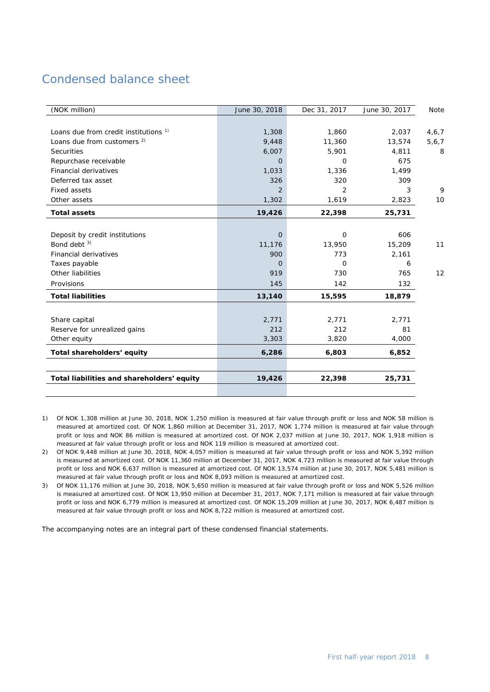# <span id="page-7-0"></span>Condensed balance sheet

| (NOK million)                                    | June 30, 2018  | Dec 31, 2017   | June 30, 2017 | Note    |
|--------------------------------------------------|----------------|----------------|---------------|---------|
|                                                  |                |                |               |         |
| Loans due from credit institutions <sup>1)</sup> | 1,308          | 1,860          | 2,037         | 4,6,7   |
| Loans due from customers <sup>2)</sup>           | 9,448          | 11,360         | 13,574        | 5, 6, 7 |
| <b>Securities</b>                                | 6,007          | 5,901          | 4,811         | 8       |
| Repurchase receivable                            | O              | O              | 675           |         |
| Financial derivatives                            | 1,033          | 1,336          | 1,499         |         |
| Deferred tax asset                               | 326            | 320            | 309           |         |
| <b>Fixed assets</b>                              | 2              | $\overline{2}$ | 3             | 9       |
| Other assets                                     | 1,302          | 1,619          | 2,823         | 10      |
| <b>Total assets</b>                              | 19,426         | 22,398         | 25,731        |         |
|                                                  |                |                |               |         |
| Deposit by credit institutions                   | $\overline{O}$ | $\mathbf 0$    | 606           |         |
| Bond debt <sup>3)</sup>                          | 11,176         | 13,950         | 15,209        | 11      |
| <b>Financial derivatives</b>                     | 900            | 773            | 2,161         |         |
| Taxes payable                                    | 0              | 0              | 6             |         |
| Other liabilities                                | 919            | 730            | 765           | 12      |
| Provisions                                       | 145            | 142            | 132           |         |
| <b>Total liabilities</b>                         | 13,140         | 15,595         | 18,879        |         |
|                                                  |                |                |               |         |
| Share capital                                    | 2,771          | 2,771          | 2,771         |         |
| Reserve for unrealized gains                     | 212            | 212            | 81            |         |
| Other equity                                     | 3,303          | 3,820          | 4,000         |         |
| Total shareholders' equity                       | 6,286          | 6,803          | 6,852         |         |
|                                                  |                |                |               |         |
| Total liabilities and shareholders' equity       | 19,426         | 22,398         | 25,731        |         |
|                                                  |                |                |               |         |

1) Of NOK 1,308 million at June 30, 2018, NOK 1,250 million is measured at fair value through profit or loss and NOK 58 million is measured at amortized cost. Of NOK 1,860 million at December 31, 2017, NOK 1,774 million is measured at fair value through profit or loss and NOK 86 million is measured at amortized cost. Of NOK 2,037 million at June 30, 2017, NOK 1,918 million is measured at fair value through profit or loss and NOK 119 million is measured at amortized cost.

- 2) Of NOK 9,448 million at June 30, 2018, NOK 4,057 million is measured at fair value through profit or loss and NOK 5,392 million is measured at amortized cost. Of NOK 11,360 million at December 31, 2017, NOK 4,723 million is measured at fair value through profit or loss and NOK 6,637 million is measured at amortized cost. Of NOK 13,574 million at June 30, 2017, NOK 5,481 million is measured at fair value through profit or loss and NOK 8,093 million is measured at amortized cost.
- 3) Of NOK 11,176 million at June 30, 2018, NOK 5,650 million is measured at fair value through profit or loss and NOK 5,526 million is measured at amortized cost. Of NOK 13,950 million at December 31, 2017, NOK 7,171 million is measured at fair value through profit or loss and NOK 6,779 million is measured at amortized cost. Of NOK 15,209 million at June 30, 2017, NOK 6,487 million is measured at fair value through profit or loss and NOK 8,722 million is measured at amortized cost.

The accompanying notes are an integral part of these condensed financial statements.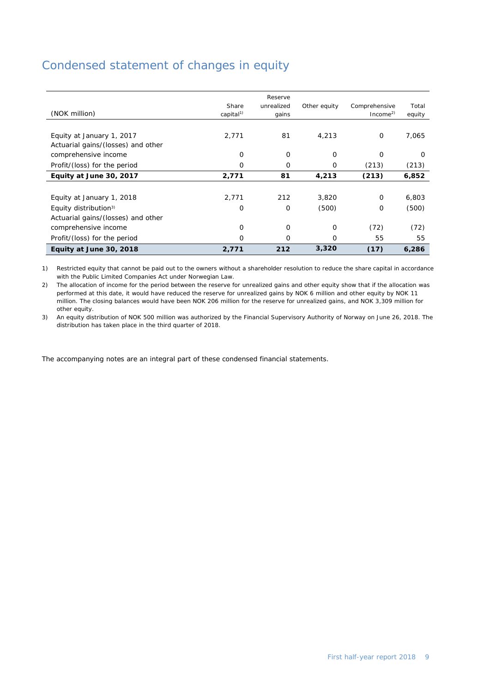### <span id="page-8-0"></span>Condensed statement of changes in equity

| (NOK million)                      | Share<br>capital <sup>1)</sup> | Reserve<br>unrealized<br>gains | Other equity | Comprehensive<br>Income <sup>2</sup> | Total<br>equity |
|------------------------------------|--------------------------------|--------------------------------|--------------|--------------------------------------|-----------------|
|                                    |                                |                                |              |                                      |                 |
| Equity at January 1, 2017          | 2,771                          | 81                             | 4,213        | 0                                    | 7,065           |
| Actuarial gains/(losses) and other |                                |                                |              |                                      |                 |
| comprehensive income               | 0                              | 0                              | 0            | O                                    | O               |
| Profit/(loss) for the period       | 0                              | 0                              | 0            | (213)                                | (213)           |
| Equity at June 30, 2017            | 2,771                          | 81                             | 4,213        | (213)                                | 6,852           |
|                                    |                                |                                |              |                                      |                 |
| Equity at January 1, 2018          | 2,771                          | 212                            | 3,820        | $\Omega$                             | 6,803           |
| Equity distribution <sup>3)</sup>  | O                              | 0                              | (500)        | 0                                    | (500)           |
| Actuarial gains/(losses) and other |                                |                                |              |                                      |                 |
| comprehensive income               | 0                              | 0                              | 0            | (72)                                 | (72)            |
| Profit/(loss) for the period       | 0                              | 0                              | 0            | 55                                   | 55              |
| Equity at June 30, 2018            | 2,771                          | 212                            | 3,320        | (17)                                 | 6,286           |

1) Restricted equity that cannot be paid out to the owners without a shareholder resolution to reduce the share capital in accordance with the Public Limited Companies Act under Norwegian Law.

2) The allocation of income for the period between the reserve for unrealized gains and other equity show that if the allocation was performed at this date, it would have reduced the reserve for unrealized gains by NOK 6 million and other equity by NOK 11 million. The closing balances would have been NOK 206 million for the reserve for unrealized gains, and NOK 3,309 million for other equity.

3) An equity distribution of NOK 500 million was authorized by the Financial Supervisory Authority of Norway on June 26, 2018. The distribution has taken place in the third quarter of 2018.

The accompanying notes are an integral part of these condensed financial statements.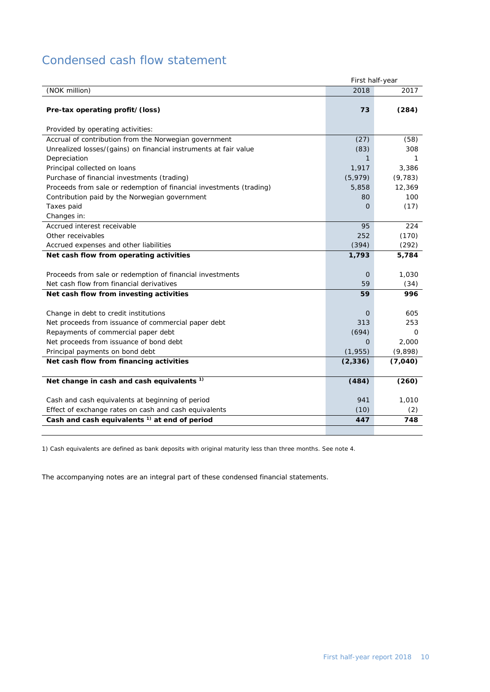# <span id="page-9-0"></span>Condensed cash flow statement

|                                                                     | First half-year |          |
|---------------------------------------------------------------------|-----------------|----------|
| (NOK million)                                                       | 2018            | 2017     |
|                                                                     |                 |          |
| Pre-tax operating profit/(loss)                                     | 73              | (284)    |
|                                                                     |                 |          |
| Provided by operating activities:                                   |                 |          |
| Accrual of contribution from the Norwegian government               | (27)            | (58)     |
| Unrealized losses/(gains) on financial instruments at fair value    | (83)            | 308      |
| Depreciation                                                        | 1.              | 1        |
| Principal collected on loans                                        | 1,917           | 3,386    |
| Purchase of financial investments (trading)                         | (5, 979)        | (9, 783) |
| Proceeds from sale or redemption of financial investments (trading) | 5,858           | 12,369   |
| Contribution paid by the Norwegian government                       | 80              | 100      |
| Taxes paid                                                          | $\Omega$        | (17)     |
| Changes in:                                                         |                 |          |
| Accrued interest receivable                                         | 95              | 224      |
| Other receivables                                                   | 252             | (170)    |
| Accrued expenses and other liabilities                              | (394)           | (292)    |
| Net cash flow from operating activities                             | 1,793           | 5,784    |
|                                                                     |                 |          |
| Proceeds from sale or redemption of financial investments           | $\mathbf 0$     | 1,030    |
| Net cash flow from financial derivatives                            | 59              | (34)     |
| Net cash flow from investing activities                             | 59              | 996      |
|                                                                     |                 |          |
| Change in debt to credit institutions                               | $\mathbf 0$     | 605      |
| Net proceeds from issuance of commercial paper debt                 | 313             | 253      |
| Repayments of commercial paper debt                                 | (694)           | 0        |
| Net proceeds from issuance of bond debt                             | $\Omega$        | 2,000    |
| Principal payments on bond debt                                     | (1, 955)        | (9,898)  |
| Net cash flow from financing activities                             | (2, 336)        | (7,040)  |
|                                                                     |                 |          |
| Net change in cash and cash equivalents <sup>1)</sup>               | (484)           | (260)    |
|                                                                     |                 |          |
| Cash and cash equivalents at beginning of period                    | 941             | 1,010    |
| Effect of exchange rates on cash and cash equivalents               | (10)            | (2)      |
| Cash and cash equivalents <sup>1)</sup> at end of period            | 447             | 748      |
|                                                                     |                 |          |

1) Cash equivalents are defined as bank deposits with original maturity less than three months. See note 4.

The accompanying notes are an integral part of these condensed financial statements.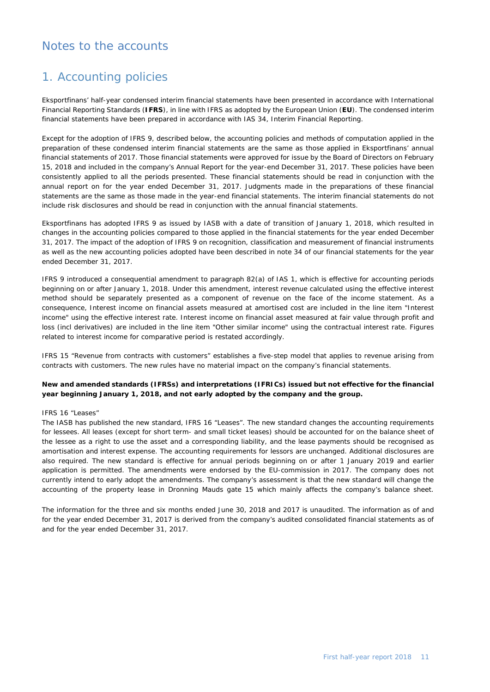### <span id="page-10-0"></span>Notes to the accounts

### 1. Accounting policies

Eksportfinans' half-year condensed interim financial statements have been presented in accordance with International Financial Reporting Standards (**IFRS**), in line with IFRS as adopted by the European Union (**EU**). The condensed interim financial statements have been prepared in accordance with IAS 34, Interim Financial Reporting.

Except for the adoption of IFRS 9, described below, the accounting policies and methods of computation applied in the preparation of these condensed interim financial statements are the same as those applied in Eksportfinans' annual financial statements of 2017. Those financial statements were approved for issue by the Board of Directors on February 15, 2018 and included in the company's Annual Report for the year-end December 31, 2017. These policies have been consistently applied to all the periods presented. These financial statements should be read in conjunction with the annual report on for the year ended December 31, 2017. Judgments made in the preparations of these financial statements are the same as those made in the year-end financial statements. The interim financial statements do not include risk disclosures and should be read in conjunction with the annual financial statements.

Eksportfinans has adopted IFRS 9 as issued by IASB with a date of transition of January 1, 2018, which resulted in changes in the accounting policies compared to those applied in the financial statements for the year ended December 31, 2017. The impact of the adoption of IFRS 9 on recognition, classification and measurement of financial instruments as well as the new accounting policies adopted have been described in note 34 of our financial statements for the year ended December 31, 2017.

IFRS 9 introduced a consequential amendment to paragraph 82(a) of IAS 1, which is effective for accounting periods beginning on or after January 1, 2018. Under this amendment, interest revenue calculated using the effective interest method should be separately presented as a component of revenue on the face of the income statement. As a consequence, Interest income on financial assets measured at amortised cost are included in the line item "Interest income" using the effective interest rate. Interest income on financial asset measured at fair value through profit and loss (incl derivatives) are included in the line item "Other similar income" using the contractual interest rate. Figures related to interest income for comparative period is restated accordingly.

IFRS 15 "Revenue from contracts with customers" establishes a five-step model that applies to revenue arising from contracts with customers. The new rules have no material impact on the company's financial statements.

#### **New and amended standards (IFRSs) and interpretations (IFRICs) issued but not effective for the financial year beginning January 1, 2018, and not early adopted by the company and the group.**

#### *IFRS 16 "Leases"*

The IASB has published the new standard, IFRS 16 "Leases". The new standard changes the accounting requirements for lessees. All leases (except for short term- and small ticket leases) should be accounted for on the balance sheet of the lessee as a right to use the asset and a corresponding liability, and the lease payments should be recognised as amortisation and interest expense. The accounting requirements for lessors are unchanged. Additional disclosures are also required. The new standard is effective for annual periods beginning on or after 1 January 2019 and earlier application is permitted. The amendments were endorsed by the EU-commission in 2017. The company does not currently intend to early adopt the amendments. The company's assessment is that the new standard will change the accounting of the property lease in Dronning Mauds gate 15 which mainly affects the company's balance sheet.

The information for the three and six months ended June 30, 2018 and 2017 is unaudited. The information as of and for the year ended December 31, 2017 is derived from the company's audited consolidated financial statements as of and for the year ended December 31, 2017.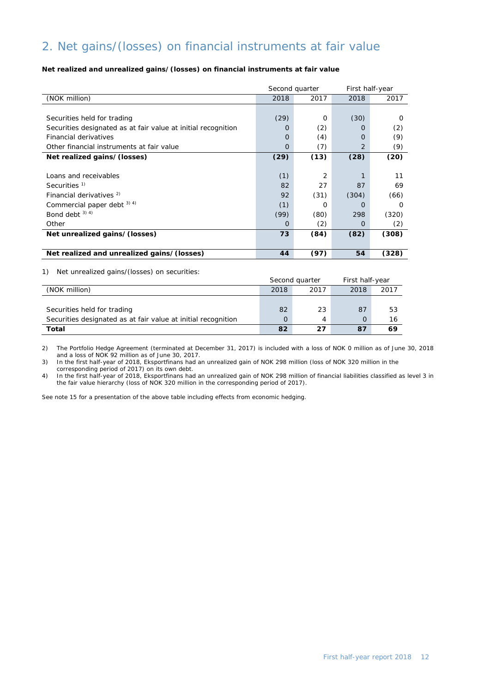# 2. Net gains/(losses) on financial instruments at fair value

### **Net realized and unrealized gains/(losses) on financial instruments at fair value**

|                                                               | Second quarter |          | First half-year |       |
|---------------------------------------------------------------|----------------|----------|-----------------|-------|
| (NOK million)                                                 | 2018           | 2017     | 2018            | 2017  |
|                                                               |                |          |                 |       |
| Securities held for trading                                   | (29)           | $\Omega$ | (30)            | O     |
| Securities designated as at fair value at initial recognition | $\Omega$       | (2)      | $\Omega$        | (2)   |
| Financial derivatives                                         | $\Omega$       | (4)      | $\Omega$        | (9)   |
| Other financial instruments at fair value                     | $\Omega$       | (7)      | $\overline{2}$  | (9)   |
| Net realized gains/(losses)                                   | (29)           | (13)     | (28)            | (20)  |
|                                                               |                |          |                 |       |
| Loans and receivables                                         | (1)            | 2        |                 | 11    |
| Securities <sup>1)</sup>                                      | 82             | 27       | 87              | 69    |
| Financial derivatives <sup>2)</sup>                           | 92             | (31)     | (304)           | (66)  |
| Commercial paper debt $3)$ 4)                                 | (1)            | Ο        | O               | O     |
| Bond debt $3)$ 4)                                             | (99)           | (80)     | 298             | (320) |
| Other                                                         | $\Omega$       | (2)      | O               | (2)   |
| Net unrealized gains/(losses)                                 | 73             | (84)     | (82)            | (308) |
|                                                               |                |          |                 |       |
| Net realized and unrealized gains/(losses)                    | 44             | (97)     | 54              | (328) |

#### 1) Net unrealized gains/(losses) on securities:

|                                                               |      | Second quarter | First half-year |      |
|---------------------------------------------------------------|------|----------------|-----------------|------|
| (NOK million)                                                 | 2018 | 2017           | 2018            | 2017 |
|                                                               |      |                |                 |      |
| Securities held for trading                                   | 82   | 23             | 87              | 53   |
| Securities designated as at fair value at initial recognition | O    | 4              |                 | 16   |
| Total                                                         | 82   | 27             | 87              | 69   |

2) The Portfolio Hedge Agreement (terminated at December 31, 2017) is included with a loss of NOK 0 million as of June 30, 2018 and a loss of NOK 92 million as of June 30, 2017.

3) In the first half-year of 2018, Eksportfinans had an unrealized gain of NOK 298 million (loss of NOK 320 million in the corresponding period of 2017) on its own debt.

4) In the first half-year of 2018, Eksportfinans had an unrealized gain of NOK 298 million of financial liabilities classified as level 3 in the fair value hierarchy (loss of NOK 320 million in the corresponding period of 2017).

See note 15 for a presentation of the above table including effects from economic hedging.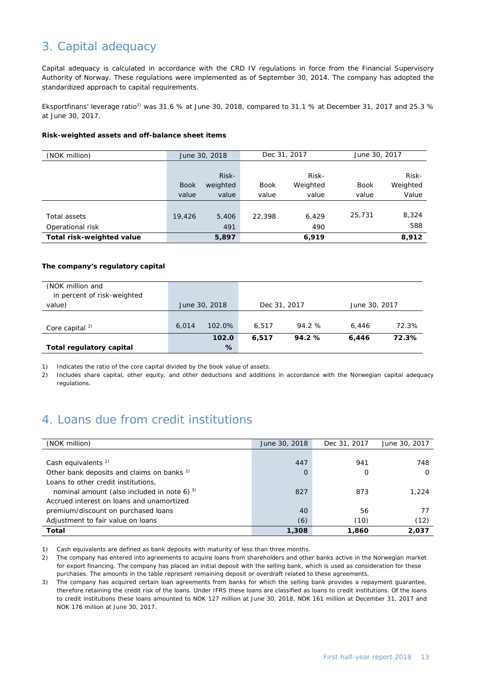# 3. Capital adequacy

Capital adequacy is calculated in accordance with the CRD IV regulations in force from the Financial Supervisory Authority of Norway. These regulations were implemented as of September 30, 2014. The company has adopted the standardized approach to capital requirements.

Eksportfinans' leverage ratio<sup>1)</sup> was 31.6 % at June 30, 2018, compared to 31.1 % at December 31, 2017 and 25.3 % at June 30, 2017.

#### **Risk-weighted assets and off-balance sheet items**

| (NOK million)             | June 30, 2018 |          | Dec 31, 2017 |          | June 30, 2017 |          |
|---------------------------|---------------|----------|--------------|----------|---------------|----------|
|                           |               |          |              |          |               |          |
|                           |               | Risk-    |              | Risk-    |               | Risk-    |
|                           | <b>Book</b>   | weighted | <b>Book</b>  | Weighted | <b>Book</b>   | Weighted |
|                           | value         | value    | value        | value    | value         | Value    |
|                           |               |          |              |          |               |          |
| Total assets              | 19,426        | 5,406    | 22,398       | 6.429    | 25,731        | 8,324    |
| Operational risk          |               | 491      |              | 490      |               | 588      |
| Total risk-weighted value |               | 5,897    |              | 6,919    |               | 8,912    |

### **The company's regulatory capital**

| (NOK million and<br>in percent of risk-weighted |       |               |              |        |               |       |
|-------------------------------------------------|-------|---------------|--------------|--------|---------------|-------|
| value)                                          |       | June 30, 2018 | Dec 31, 2017 |        | June 30, 2017 |       |
|                                                 | 6.014 | 102.0%        | 6.517        | 94.2 % | 6.446         | 72.3% |
| Core capital $^{2)}$                            |       | 102.0         | 6.517        | 94.2%  | 6,446         | 72.3% |
| Total regulatory capital                        |       | %             |              |        |               |       |

1) Indicates the ratio of the core capital divided by the book value of assets.

2) Includes share capital, other equity, and other deductions and additions in accordance with the Norwegian capital adequacy regulations.

# 4. Loans due from credit institutions

| (NOK million)                                         | June 30, 2018 | Dec 31, 2017 | June 30, 2017 |
|-------------------------------------------------------|---------------|--------------|---------------|
|                                                       |               |              |               |
| Cash equivalents $1$                                  | 447           | 941          | 748           |
| Other bank deposits and claims on banks <sup>2)</sup> | $\Omega$      | 0            | $\Omega$      |
| Loans to other credit institutions,                   |               |              |               |
| nominal amount (also included in note 6) $3$ )        | 827           | 873          | 1.224         |
| Accrued interest on loans and unamortized             |               |              |               |
| premium/discount on purchased loans                   | 40            | 56           | 77            |
| Adjustment to fair value on loans                     | (6)           | (10)         | (12)          |
| Total                                                 | 1,308         | 1,860        | 2,037         |

1) Cash equivalents are defined as bank deposits with maturity of less than three months.

2) The company has entered into agreements to acquire loans from shareholders and other banks active in the Norwegian market for export financing. The company has placed an initial deposit with the selling bank, which is used as consideration for these purchases. The amounts in the table represent remaining deposit or overdraft related to these agreements.

3) The company has acquired certain loan agreements from banks for which the selling bank provides a repayment guarantee, therefore retaining the credit risk of the loans. Under IFRS these loans are classified as loans to credit institutions. Of the loans to credit institutions these loans amounted to NOK 127 million at June 30, 2018, NOK 161 million at December 31, 2017 and NOK 176 million at June 30, 2017.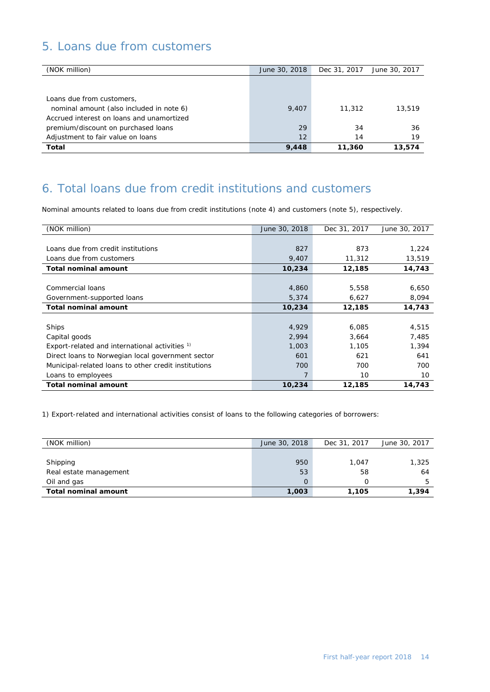# 5. Loans due from customers

| (NOK million)                             | June 30, 2018 | Dec 31, 2017 | June 30, 2017 |
|-------------------------------------------|---------------|--------------|---------------|
|                                           |               |              |               |
|                                           |               |              |               |
| Loans due from customers,                 |               |              |               |
| nominal amount (also included in note 6)  | 9,407         | 11,312       | 13,519        |
| Accrued interest on loans and unamortized |               |              |               |
| premium/discount on purchased loans       | 29            | 34           | 36            |
| Adjustment to fair value on loans         | 12            | 14           | 19            |
| Total                                     | 9,448         | 11,360       | 13,574        |

# 6. Total loans due from credit institutions and customers

Nominal amounts related to loans due from credit institutions (note 4) and customers (note 5), respectively.

| (NOK million)                                             | June 30, 2018 | Dec 31, 2017 | June 30, 2017 |
|-----------------------------------------------------------|---------------|--------------|---------------|
|                                                           |               |              |               |
| Loans due from credit institutions                        | 827           | 873          | 1,224         |
| Loans due from customers                                  | 9,407         | 11,312       | 13,519        |
| <b>Total nominal amount</b>                               | 10,234        | 12,185       | 14,743        |
|                                                           |               |              |               |
| Commercial loans                                          | 4,860         | 5,558        | 6,650         |
| Government-supported loans                                | 5,374         | 6,627        | 8,094         |
| <b>Total nominal amount</b>                               | 10,234        | 12,185       | 14,743        |
|                                                           |               |              |               |
| Ships                                                     | 4,929         | 6,085        | 4,515         |
| Capital goods                                             | 2,994         | 3,664        | 7,485         |
| Export-related and international activities <sup>1)</sup> | 1,003         | 1,105        | 1,394         |
| Direct loans to Norwegian local government sector         | 601           | 621          | 641           |
| Municipal-related loans to other credit institutions      | 700           | 700          | 700           |
| Loans to employees                                        | 7             | 10           | 10            |
| <b>Total nominal amount</b>                               | 10,234        | 12,185       | 14,743        |

1) Export-related and international activities consist of loans to the following categories of borrowers:

| (NOK million)               | June 30, 2018 | Dec 31, 2017 | June 30, 2017 |
|-----------------------------|---------------|--------------|---------------|
|                             |               |              |               |
| Shipping                    | 950           | 1.047        | 1,325         |
| Real estate management      | 53            | 58           | 64            |
| Oil and gas                 | 0             |              | 5             |
| <b>Total nominal amount</b> | 1,003         | 1,105        | 1.394         |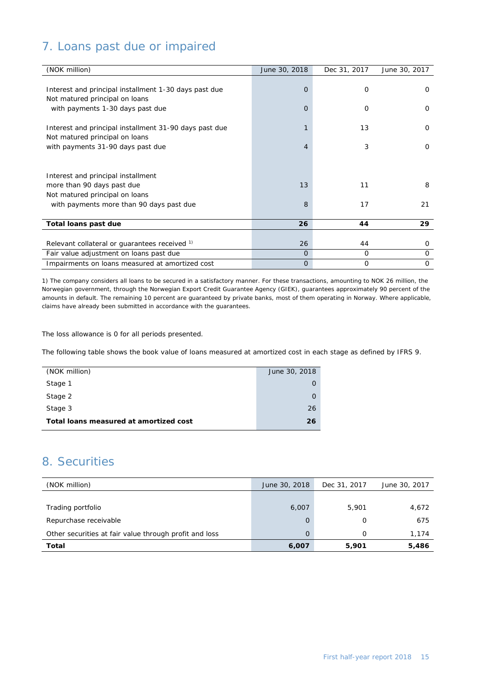# 7. Loans past due or impaired

| (NOK million)                                          | June 30, 2018  | Dec 31, 2017 | June 30, 2017 |
|--------------------------------------------------------|----------------|--------------|---------------|
|                                                        |                |              |               |
| Interest and principal installment 1-30 days past due  | $\overline{O}$ | 0            | $\Omega$      |
| Not matured principal on loans                         |                |              |               |
| with payments 1-30 days past due                       | 0              | 0            | 0             |
|                                                        |                |              |               |
| Interest and principal installment 31-90 days past due |                | 13           | $\Omega$      |
| Not matured principal on loans                         |                |              |               |
| with payments 31-90 days past due                      | 4              | 3            | $\Omega$      |
|                                                        |                |              |               |
|                                                        |                |              |               |
| Interest and principal installment                     |                |              |               |
| more than 90 days past due                             | 13             | 11           | 8             |
| Not matured principal on loans                         |                |              |               |
| with payments more than 90 days past due               | 8              | 17           | 21            |
|                                                        |                |              |               |
| Total loans past due                                   | 26             | 44           | 29            |
|                                                        |                |              |               |
| Relevant collateral or quarantees received 1)          | 26             | 44           | 0             |
| Fair value adjustment on loans past due                | $\Omega$       | 0            | 0             |
| Impairments on loans measured at amortized cost        | $\mathbf{O}$   | 0            | 0             |

1) The company considers all loans to be secured in a satisfactory manner. For these transactions, amounting to NOK 26 million, the Norwegian government, through the Norwegian Export Credit Guarantee Agency (GIEK), guarantees approximately 90 percent of the amounts in default. The remaining 10 percent are guaranteed by private banks, most of them operating in Norway. Where applicable, claims have already been submitted in accordance with the guarantees.

The loss allowance is 0 for all periods presented.

The following table shows the book value of loans measured at amortized cost in each stage as defined by IFRS 9.

| June 30, 2018 |
|---------------|
|               |
|               |
| 26            |
| 26            |
|               |

### 8. Securities

| (NOK million)                                          | June 30, 2018 | Dec 31, 2017 | June 30, 2017 |
|--------------------------------------------------------|---------------|--------------|---------------|
|                                                        |               |              |               |
| Trading portfolio                                      | 6,007         | 5,901        | 4,672         |
| Repurchase receivable                                  | 0             | O            | 675           |
| Other securities at fair value through profit and loss | O             | $\Omega$     | 1.174         |
| Total                                                  | 6,007         | 5,901        | 5,486         |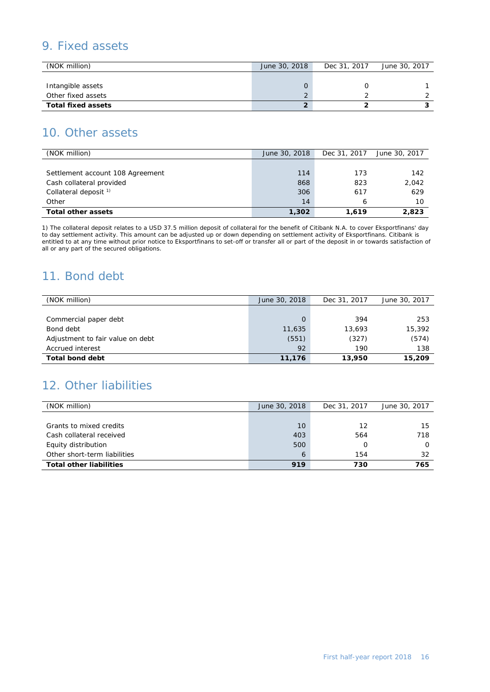### 9. Fixed assets

| (NOK million)             | June 30, 2018 | Dec 31, 2017 | June 30, 2017 |
|---------------------------|---------------|--------------|---------------|
|                           |               |              |               |
| Intangible assets         |               |              |               |
| Other fixed assets        |               |              |               |
| <b>Total fixed assets</b> |               |              |               |

### 10. Other assets

| (NOK million)                    | June 30, 2018 | Dec 31, 2017 | June 30, 2017 |
|----------------------------------|---------------|--------------|---------------|
|                                  |               |              |               |
| Settlement account 108 Agreement | 114           | 173          | 142           |
| Cash collateral provided         | 868           | 823          | 2,042         |
| Collateral deposit <sup>1)</sup> | 306           | 617          | 629           |
| Other                            | 14            | 6            | 10            |
| <b>Total other assets</b>        | 1,302         | 1.619        | 2,823         |

1) The collateral deposit relates to a USD 37.5 million deposit of collateral for the benefit of Citibank N.A. to cover Eksportfinans' day to day settlement activity. This amount can be adjusted up or down depending on settlement activity of Eksportfinans. Citibank is entitled to at any time without prior notice to Eksportfinans to set-off or transfer all or part of the deposit in or towards satisfaction of all or any part of the secured obligations.

### 11. Bond debt

| (NOK million)                    | June 30, 2018 | Dec 31, 2017 | June 30, 2017 |
|----------------------------------|---------------|--------------|---------------|
|                                  |               |              |               |
| Commercial paper debt            | 0             | 394          | 253           |
| Bond debt                        | 11,635        | 13,693       | 15,392        |
| Adjustment to fair value on debt | (551)         | (327)        | (574)         |
| Accrued interest                 | 92            | 190          | 138           |
| <b>Total bond debt</b>           | 11,176        | 13,950       | 15,209        |

# 12. Other liabilities

| (NOK million)<br>June 30, 2018<br>Dec 31, 2017<br>Grants to mixed credits<br>12<br>10<br>Cash collateral received<br>403<br>564<br>Equity distribution<br>500<br>Other short-term liabilities<br>154<br>6 | <b>Total other liabilities</b> | 919 | 730 | 765           |
|-----------------------------------------------------------------------------------------------------------------------------------------------------------------------------------------------------------|--------------------------------|-----|-----|---------------|
|                                                                                                                                                                                                           |                                |     |     | 32            |
|                                                                                                                                                                                                           |                                |     |     | Ο             |
|                                                                                                                                                                                                           |                                |     |     | 718           |
|                                                                                                                                                                                                           |                                |     |     | 15            |
|                                                                                                                                                                                                           |                                |     |     |               |
|                                                                                                                                                                                                           |                                |     |     | June 30, 2017 |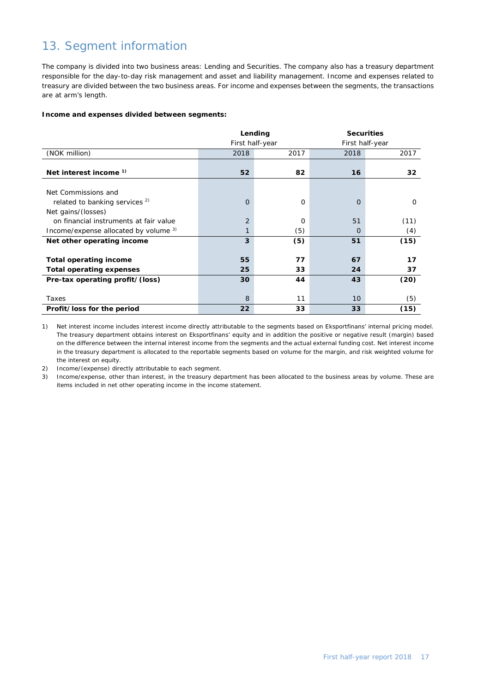# 13. Segment information

The company is divided into two business areas: Lending and Securities. The company also has a treasury department responsible for the day-to-day risk management and asset and liability management. Income and expenses related to treasury are divided between the two business areas. For income and expenses between the segments, the transactions are at arm's length.

#### **Income and expenses divided between segments:**

|                                           |                 | Lending  | <b>Securities</b> |                 |  |
|-------------------------------------------|-----------------|----------|-------------------|-----------------|--|
|                                           | First half-year |          |                   | First half-year |  |
| (NOK million)                             | 2018            | 2017     | 2018              | 2017            |  |
|                                           |                 |          |                   |                 |  |
| Net interest income <sup>1)</sup>         | 52              | 82       | 16                | 32              |  |
|                                           |                 |          |                   |                 |  |
| Net Commissions and                       |                 |          |                   |                 |  |
| related to banking services <sup>2)</sup> | $\overline{O}$  | $\Omega$ | $\Omega$          | $\Omega$        |  |
| Net gains/(losses)                        |                 |          |                   |                 |  |
| on financial instruments at fair value    | $\overline{2}$  | $\Omega$ | 51                | (11)            |  |
| Income/expense allocated by volume 3)     | 1               | (5)      | 0                 | (4)             |  |
| Net other operating income                | 3               | (5)      | 51                | (15)            |  |
|                                           |                 |          |                   |                 |  |
| Total operating income                    | 55              | 77       | 67                | 17              |  |
| <b>Total operating expenses</b>           | 25              | 33       | 24                | 37              |  |
| Pre-tax operating profit/(loss)           | 30              | 44       | 43                | (20)            |  |
|                                           |                 |          |                   |                 |  |
| Taxes                                     | 8               | 11       | 10                | (5)             |  |
| Profit/loss for the period                | 22              | 33       | 33                | (15)            |  |

1) Net interest income includes interest income directly attributable to the segments based on Eksportfinans' internal pricing model. The treasury department obtains interest on Eksportfinans' equity and in addition the positive or negative result (margin) based on the difference between the internal interest income from the segments and the actual external funding cost. Net interest income in the treasury department is allocated to the reportable segments based on volume for the margin, and risk weighted volume for the interest on equity.

2) Income/(expense) directly attributable to each segment.

3) Income/expense, other than interest, in the treasury department has been allocated to the business areas by volume. These are items included in net other operating income in the income statement.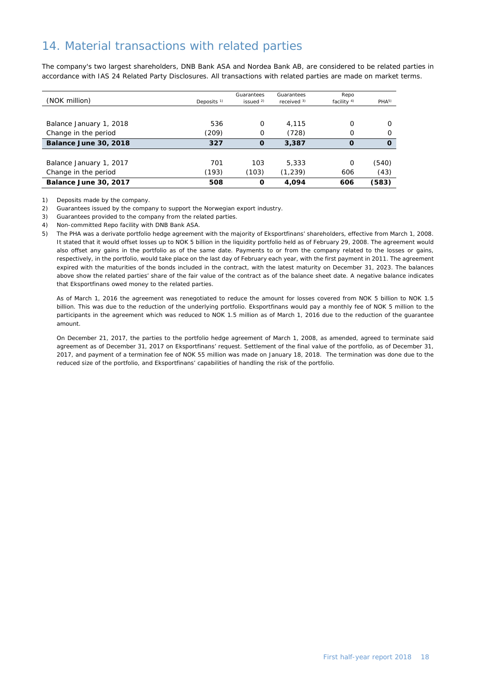# 14. Material transactions with related parties

The company's two largest shareholders, DNB Bank ASA and Nordea Bank AB, are considered to be related parties in accordance with IAS 24 Related Party Disclosures. All transactions with related parties are made on market terms.

| (NOK million)           | Deposits $1$ ) | Guarantees<br>issued $2$ ) | Guarantees<br>received $3$ ) | Repo<br>facility $4$ ) | PHA <sup>5</sup> |
|-------------------------|----------------|----------------------------|------------------------------|------------------------|------------------|
|                         |                |                            |                              |                        |                  |
| Balance January 1, 2018 | 536            | 0                          | 4.115                        | Ω                      |                  |
| Change in the period    | (209)          | 0                          | (728)                        | $\Omega$               |                  |
| Balance June 30, 2018   | 327            | $\mathbf 0$                | 3,387                        | $\Omega$               | $\Omega$         |
|                         |                |                            |                              |                        |                  |
| Balance January 1, 2017 | 701            | 103                        | 5.333                        | $\Omega$               | (540)            |
| Change in the period    | (193)          | (103)                      | (1, 239)                     | 606                    | (43)             |
| Balance June 30, 2017   | 508            | O                          | 4.094                        | 606                    | (583)            |

1) Deposits made by the company.

2) Guarantees issued by the company to support the Norwegian export industry.

3) Guarantees provided to the company from the related parties.

4) Non-committed Repo facility with DNB Bank ASA.

5) The PHA was a derivate portfolio hedge agreement with the majority of Eksportfinans' shareholders, effective from March 1, 2008. It stated that it would offset losses up to NOK 5 billion in the liquidity portfolio held as of February 29, 2008. The agreement would also offset any gains in the portfolio as of the same date. Payments to or from the company related to the losses or gains, respectively, in the portfolio, would take place on the last day of February each year, with the first payment in 2011. The agreement expired with the maturities of the bonds included in the contract, with the latest maturity on December 31, 2023. The balances above show the related parties' share of the fair value of the contract as of the balance sheet date. A negative balance indicates that Eksportfinans owed money to the related parties.

As of March 1, 2016 the agreement was renegotiated to reduce the amount for losses covered from NOK 5 billion to NOK 1.5 billion. This was due to the reduction of the underlying portfolio. Eksportfinans would pay a monthly fee of NOK 5 million to the participants in the agreement which was reduced to NOK 1.5 million as of March 1, 2016 due to the reduction of the guarantee amount.

On December 21, 2017, the parties to the portfolio hedge agreement of March 1, 2008, as amended, agreed to terminate said agreement as of December 31, 2017 on Eksportfinans' request. Settlement of the final value of the portfolio, as of December 31, 2017, and payment of a termination fee of NOK 55 million was made on January 18, 2018. The termination was done due to the reduced size of the portfolio, and Eksportfinans' capabilities of handling the risk of the portfolio.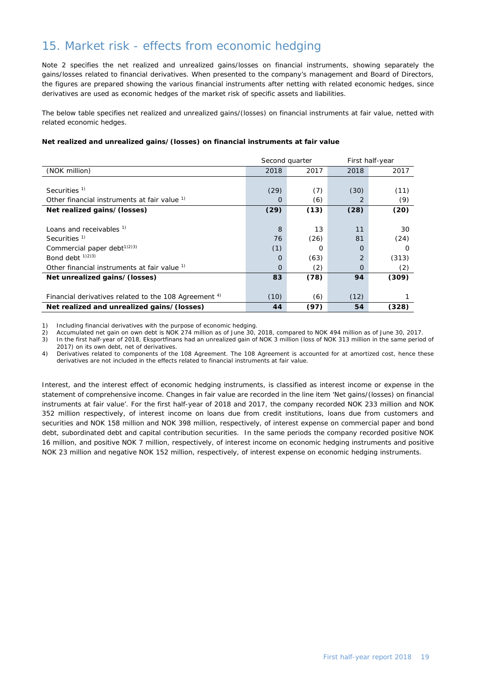# 15. Market risk - effects from economic hedging

Note 2 specifies the net realized and unrealized gains/losses on financial instruments, showing separately the gains/losses related to financial derivatives. When presented to the company's management and Board of Directors, the figures are prepared showing the various financial instruments after netting with related economic hedges, since derivatives are used as economic hedges of the market risk of specific assets and liabilities.

The below table specifies net realized and unrealized gains/(losses) on financial instruments at fair value, netted with related economic hedges.

#### **Net realized and unrealized gains/(losses) on financial instruments at fair value**

|                                                                  | Second quarter |          |                | First half-year |  |  |
|------------------------------------------------------------------|----------------|----------|----------------|-----------------|--|--|
| (NOK million)                                                    | 2018           | 2017     | 2018           | 2017            |  |  |
|                                                                  |                |          |                |                 |  |  |
| Securities $1$                                                   | (29)           | (7)      | (30)           | (11)            |  |  |
| Other financial instruments at fair value <sup>1)</sup>          | O              | (6)      | 2              | (9)             |  |  |
| Net realized gains/(losses)                                      | (29)           | (13)     | (28)           | (20)            |  |  |
|                                                                  |                |          |                |                 |  |  |
| Loans and receivables <sup>1)</sup>                              | 8              | 13       | 11             | 30              |  |  |
| Securities <sup>1)</sup>                                         | 76             | (26)     | 81             | (24)            |  |  |
| Commercial paper debt $(1)$ <sup>2)3)</sup>                      | (1)            | $\Omega$ | $\Omega$       | Ω               |  |  |
| Bond debt $(1)(2)(3)$                                            | $\Omega$       | (63)     | $\overline{2}$ | (313)           |  |  |
| Other financial instruments at fair value <sup>1)</sup>          | $\Omega$       | (2)      | $\mathbf 0$    | (2)             |  |  |
| Net unrealized gains/(losses)                                    | 83             | (78)     | 94             | (309)           |  |  |
|                                                                  |                |          |                |                 |  |  |
| Financial derivatives related to the 108 Agreement <sup>4)</sup> | (10)           | (6)      | (12)           |                 |  |  |
| Net realized and unrealized gains/(losses)                       | 44             | (97)     | 54             | (328)           |  |  |

1) Including financial derivatives with the purpose of economic hedging.

2) Accumulated net gain on own debt is NOK 274 million as of June 30, 2018, compared to NOK 494 million as of June 30, 2017.

3) In the first half-year of 2018, Eksportfinans had an unrealized gain of NOK 3 million (loss of NOK 313 million in the same period of 2017) on its own debt, net of derivatives.

4) Derivatives related to components of the 108 Agreement. The 108 Agreement is accounted for at amortized cost, hence these derivatives are not included in the effects related to financial instruments at fair value.

Interest, and the interest effect of economic hedging instruments, is classified as interest income or expense in the statement of comprehensive income. Changes in fair value are recorded in the line item 'Net gains/(losses) on financial instruments at fair value'. For the first half-year of 2018 and 2017, the company recorded NOK 233 million and NOK 352 million respectively, of interest income on loans due from credit institutions, loans due from customers and securities and NOK 158 million and NOK 398 million, respectively, of interest expense on commercial paper and bond debt, subordinated debt and capital contribution securities. In the same periods the company recorded positive NOK 16 million, and positive NOK 7 million, respectively, of interest income on economic hedging instruments and positive NOK 23 million and negative NOK 152 million, respectively, of interest expense on economic hedging instruments.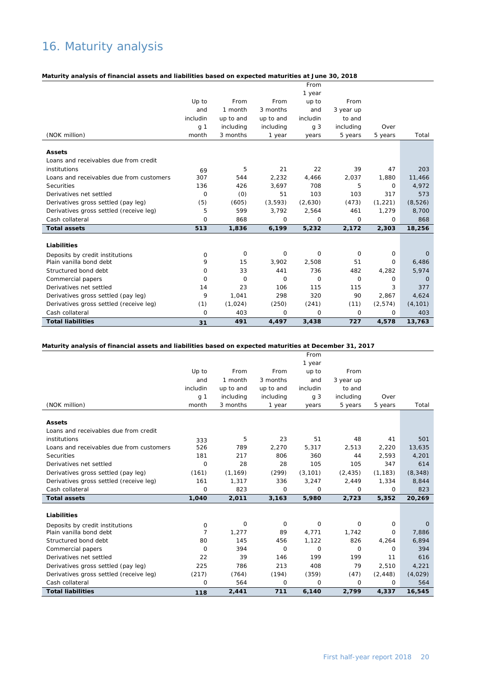# 16. Maturity analysis

#### **Maturity analysis of financial assets and liabilities based on expected maturities at June 30, 2018**

|                                          |                |             |           | From     |           |             |              |
|------------------------------------------|----------------|-------------|-----------|----------|-----------|-------------|--------------|
|                                          |                |             |           | 1 year   |           |             |              |
|                                          | Up to          | From        | From      | up to    | From      |             |              |
|                                          | and            | 1 month     | 3 months  | and      | 3 year up |             |              |
|                                          | includin       | up to and   | up to and | includin | to and    |             |              |
|                                          | g <sub>1</sub> | including   | including | g 3      | including | Over        |              |
| (NOK million)                            | month          | 3 months    | 1 year    | years    | 5 years   | 5 years     | Total        |
| <b>Assets</b>                            |                |             |           |          |           |             |              |
| Loans and receivables due from credit    |                |             |           |          |           |             |              |
| institutions                             | 69             | 5           | 21        | 22       | 39        | 47          | 203          |
| Loans and receivables due from customers | 307            | 544         | 2.232     | 4,466    | 2,037     | 1,880       | 11,466       |
| Securities                               | 136            | 426         | 3,697     | 708      | 5         | $\Omega$    | 4,972        |
| Derivatives net settled                  | $\mathbf 0$    | (0)         | 51        | 103      | 103       | 317         | 573          |
| Derivatives gross settled (pay leg)      | (5)            | (605)       | (3, 593)  | (2,630)  | (473)     | (1, 221)    | (8,526)      |
| Derivatives gross settled (receive leg)  | 5              | 599         | 3,792     | 2,564    | 461       | 1,279       | 8,700        |
| Cash collateral                          | $\Omega$       | 868         | 0         | 0        | 0         | 0           | 868          |
| <b>Total assets</b>                      | 513            | 1,836       | 6,199     | 5,232    | 2,172     | 2,303       | 18,256       |
| Liabilities                              |                |             |           |          |           |             |              |
| Deposits by credit institutions          | 0              | $\mathbf 0$ | 0         | 0        | 0         | $\mathbf 0$ | $\Omega$     |
| Plain vanilla bond debt                  | 9              | 15          | 3.902     | 2.508    | 51        | $\Omega$    | 6,486        |
| Structured bond debt                     | $\Omega$       | 33          | 441       | 736      | 482       | 4,282       | 5,974        |
| Commercial papers                        | $\Omega$       | $\mathbf 0$ | 0         | $\circ$  | $\Omega$  | $\Omega$    | $\mathbf{0}$ |
| Derivatives net settled                  | 14             | 23          | 106       | 115      | 115       | 3           | 377          |
| Derivatives gross settled (pay leg)      | 9              | 1,041       | 298       | 320      | 90        | 2,867       | 4,624        |
| Derivatives gross settled (receive leg)  | (1)            | (1,024)     | (250)     | (241)    | (11)      | (2, 574)    | (4, 101)     |
| Cash collateral                          | $\mathbf 0$    | 403         | 0         | 0        | 0         | 0           | 403          |
| <b>Total liabilities</b>                 | 31             | 491         | 4,497     | 3,438    | 727       | 4,578       | 13,763       |

#### **Maturity analysis of financial assets and liabilities based on expected maturities at December 31, 2017**

|                                          |                |           |                | From           |           |          |          |
|------------------------------------------|----------------|-----------|----------------|----------------|-----------|----------|----------|
|                                          |                |           |                | 1 year         |           |          |          |
|                                          | Up to          | From      | From           | up to          | From      |          |          |
|                                          | and            | 1 month   | 3 months       | and            | 3 year up |          |          |
|                                          | includin       | up to and | up to and      | includin       | to and    |          |          |
|                                          | g 1            | including | including      | q <sub>3</sub> | including | Over     |          |
| (NOK million)                            | month          | 3 months  | 1 year         | years          | 5 years   | 5 years  | Total    |
| <b>Assets</b>                            |                |           |                |                |           |          |          |
| Loans and receivables due from credit    |                |           |                |                |           |          |          |
| institutions                             | 333            | 5         | 23             | 51             | 48        | 41       | 501      |
| Loans and receivables due from customers | 526            | 789       | 2,270          | 5.317          | 2,513     | 2,220    | 13,635   |
| Securities                               | 181            | 217       | 806            | 360            | 44        | 2.593    | 4,201    |
| Derivatives net settled                  | 0              | 28        | 28             | 105            | 105       | 347      | 614      |
| Derivatives gross settled (pay leg)      | (161)          | (1, 169)  | (299)          | (3, 101)       | (2, 435)  | (1, 183) | (8, 348) |
| Derivatives gross settled (receive leg)  | 161            | 1,317     | 336            | 3,247          | 2,449     | 1,334    | 8,844    |
| Cash collateral                          | 0              | 823       | $\circ$        | 0              | 0         | 0        | 823      |
| <b>Total assets</b>                      | 1,040          | 2,011     | 3,163          | 5,980          | 2,723     | 5,352    | 20,269   |
| Liabilities                              |                |           |                |                |           |          |          |
| Deposits by credit institutions          | 0              | 0         | 0              | 0              | 0         | 0        | $\Omega$ |
| Plain vanilla bond debt                  | $\overline{7}$ | 1,277     | 89             | 4,771          | 1,742     | 0        | 7,886    |
| Structured bond debt                     | 80             | 145       | 456            | 1,122          | 826       | 4,264    | 6,894    |
| Commercial papers                        | 0              | 394       | $\overline{O}$ | 0              | 0         | 0        | 394      |
| Derivatives net settled                  | 22             | 39        | 146            | 199            | 199       | 11       | 616      |
| Derivatives gross settled (pay leg)      | 225            | 786       | 213            | 408            | 79        | 2,510    | 4,221    |
| Derivatives gross settled (receive leg)  | (217)          | (764)     | (194)          | (359)          | (47)      | (2, 448) | (4,029)  |
| Cash collateral                          | 0              | 564       | 0              | 0              | 0         | 0        | 564      |
|                                          |                |           |                |                |           |          |          |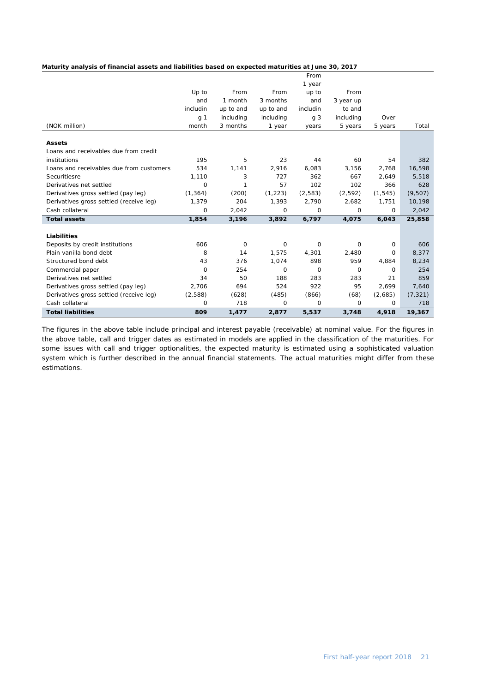#### **Maturity analysis of financial assets and liabilities based on expected maturities at June 30, 2017**

|                                          |                |             |             | From           |             |          |          |
|------------------------------------------|----------------|-------------|-------------|----------------|-------------|----------|----------|
|                                          |                |             |             | 1 year         |             |          |          |
|                                          | Up to          | From        | From        | up to          | From        |          |          |
|                                          | and            | 1 month     | 3 months    | and            | 3 year up   |          |          |
|                                          | includin       | up to and   | up to and   | includin       | to and      |          |          |
|                                          | g <sub>1</sub> | including   | including   | q <sub>3</sub> | including   | Over     |          |
| (NOK million)                            | month          | 3 months    | 1 year      | years          | 5 years     | 5 years  | Total    |
|                                          |                |             |             |                |             |          |          |
| <b>Assets</b>                            |                |             |             |                |             |          |          |
| Loans and receivables due from credit    |                |             |             |                |             |          |          |
| institutions                             | 195            | 5           | 23          | 44             | 60          | 54       | 382      |
| Loans and receivables due from customers | 534            | 1,141       | 2,916       | 6,083          | 3,156       | 2,768    | 16,598   |
| Securitiesre                             | 1,110          | 3           | 727         | 362            | 667         | 2,649    | 5,518    |
| Derivatives net settled                  | 0              | 1           | 57          | 102            | 102         | 366      | 628      |
| Derivatives gross settled (pay leg)      | (1, 364)       | (200)       | (1, 223)    | (2, 583)       | (2, 592)    | (1, 545) | (9, 507) |
| Derivatives gross settled (receive leg)  | 1,379          | 204         | 1,393       | 2,790          | 2,682       | 1,751    | 10,198   |
| Cash collateral                          | 0              | 2,042       | 0           | 0              | 0           | 0        | 2,042    |
| <b>Total assets</b>                      | 1,854          | 3,196       | 3,892       | 6,797          | 4,075       | 6,043    | 25,858   |
|                                          |                |             |             |                |             |          |          |
| Liabilities                              |                |             |             |                |             |          |          |
| Deposits by credit institutions          | 606            | $\mathbf 0$ | 0           | $\Omega$       | 0           | 0        | 606      |
| Plain vanilla bond debt                  | 8              | 14          | 1,575       | 4,301          | 2,480       | 0        | 8,377    |
| Structured bond debt                     | 43             | 376         | 1,074       | 898            | 959         | 4,884    | 8,234    |
| Commercial paper                         | 0              | 254         | $\mathbf 0$ | $\Omega$       | $\mathbf 0$ | 0        | 254      |
| Derivatives net settled                  | 34             | 50          | 188         | 283            | 283         | 21       | 859      |
| Derivatives gross settled (pay leg)      | 2,706          | 694         | 524         | 922            | 95          | 2,699    | 7,640    |
| Derivatives gross settled (receive leg)  | (2,588)        | (628)       | (485)       | (866)          | (68)        | (2,685)  | (7, 321) |
| Cash collateral                          | 0              | 718         | 0           | 0              | 0           | $\Omega$ | 718      |
| <b>Total liabilities</b>                 | 809            | 1,477       | 2,877       | 5,537          | 3,748       | 4,918    | 19,367   |

The figures in the above table include principal and interest payable (receivable) at nominal value. For the figures in the above table, call and trigger dates as estimated in models are applied in the classification of the maturities. For some issues with call and trigger optionalities, the expected maturity is estimated using a sophisticated valuation system which is further described in the annual financial statements. The actual maturities might differ from these estimations.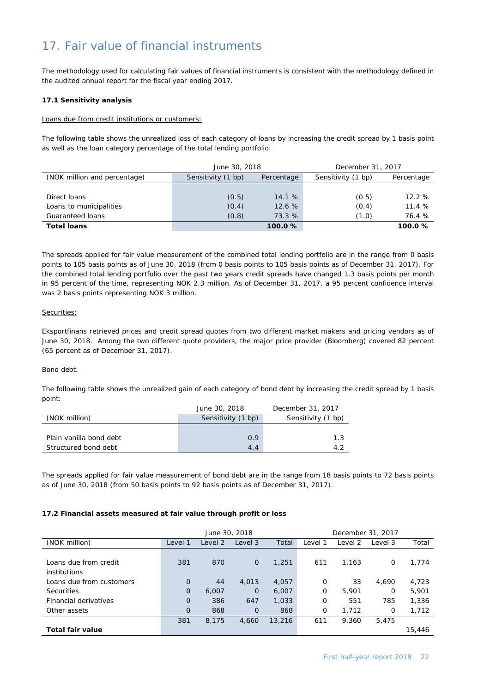# 17. Fair value of financial instruments

The methodology used for calculating fair values of financial instruments is consistent with the methodology defined in the audited annual report for the fiscal year ending 2017.

#### **17.1 Sensitivity analysis**

#### Loans due from credit institutions or customers:

The following table shows the unrealized loss of each category of loans by increasing the credit spread by 1 basis point as well as the loan category percentage of the total lending portfolio.

|                              | June 30, 2018      |            | December 31, 2017  |            |  |  |
|------------------------------|--------------------|------------|--------------------|------------|--|--|
| (NOK million and percentage) | Sensitivity (1 bp) | Percentage | Sensitivity (1 bp) | Percentage |  |  |
|                              |                    |            |                    |            |  |  |
| Direct loans                 | (0.5)              | 14.1%      | (0.5)              | 12.2%      |  |  |
| Loans to municipalities      | (0.4)              | 12.6%      | (0.4)              | 11.4%      |  |  |
| Guaranteed loans             | (0.8)              | 73.3 %     | (1.0)              | 76.4 %     |  |  |
| <b>Total loans</b>           |                    | 100.0%     |                    | 100.0%     |  |  |

The spreads applied for fair value measurement of the combined total lending portfolio are in the range from 0 basis points to 105 basis points as of June 30, 2018 (from 0 basis points to 105 basis points as of December 31, 2017). For the combined total lending portfolio over the past two years credit spreads have changed 1.3 basis points per month in 95 percent of the time, representing NOK 2.3 million. As of December 31, 2017, a 95 percent confidence interval was 2 basis points representing NOK 3 million.

#### Securities:

Eksportfinans retrieved prices and credit spread quotes from two different market makers and pricing vendors as of June 30, 2018. Among the two different quote providers, the major price provider (Bloomberg) covered 82 percent (65 percent as of December 31, 2017).

#### Bond debt:

The following table shows the unrealized gain of each category of bond debt by increasing the credit spread by 1 basis point:

|                         | June 30, 2018      | December 31, 2017  |
|-------------------------|--------------------|--------------------|
| (NOK million)           | Sensitivity (1 bp) | Sensitivity (1 bp) |
|                         |                    |                    |
| Plain vanilla bond debt | 0.9                | 1.3                |
| Structured bond debt    | 4.4                | 1 C                |

The spreads applied for fair value measurement of bond debt are in the range from 18 basis points to 72 basis points as of June 30, 2018 (from 50 basis points to 92 basis points as of December 31, 2017).

#### **17.2 Financial assets measured at fair value through profit or loss**

|                          | June 30, 2018  |         |                |        | December 31, 2017 |         |         |        |
|--------------------------|----------------|---------|----------------|--------|-------------------|---------|---------|--------|
| (NOK million)            | Level 1        | Level 2 | Level 3        | Total  | Level 1           | Level 2 | Level 3 | Total  |
| Loans due from credit    | 381            | 870     | $\mathbf 0$    | 1,251  | 611               | 1,163   | 0       | 1,774  |
| institutions             |                |         |                |        |                   |         |         |        |
| Loans due from customers | $\Omega$       | 44      | 4,013          | 4,057  | $\Omega$          | 33      | 4,690   | 4,723  |
| <b>Securities</b>        | $\overline{0}$ | 6,007   | $\Omega$       | 6,007  | 0                 | 5,901   | 0       | 5,901  |
| Financial derivatives    | $\overline{0}$ | 386     | 647            | 1,033  | 0                 | 551     | 785     | 1,336  |
| Other assets             | $\overline{0}$ | 868     | $\overline{0}$ | 868    | 0                 | 1,712   | 0       | 1,712  |
|                          | 381            | 8,175   | 4,660          | 13,216 | 611               | 9,360   | 5,475   |        |
| Total fair value         |                |         |                |        |                   |         |         | 15,446 |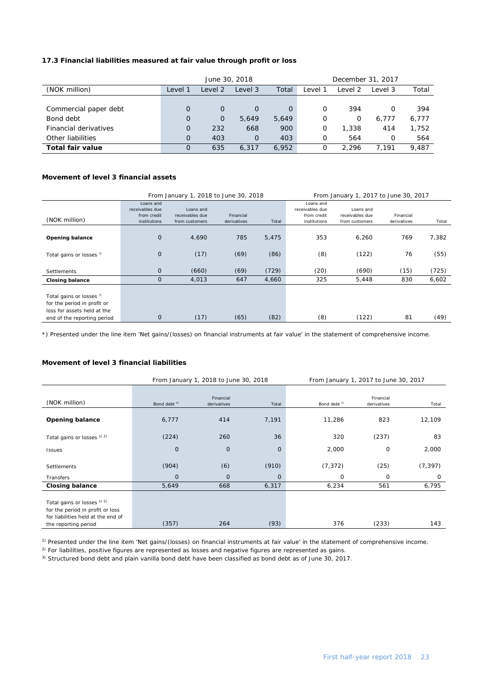### **17.3 Financial liabilities measured at fair value through profit or loss**

|                       |          | June 30, 2018 |          |          | December 31, 2017 |         |         |       |
|-----------------------|----------|---------------|----------|----------|-------------------|---------|---------|-------|
| (NOK million)         | Level 1  | Level 2       | Level 3  | Total    | Level 1           | Level 2 | Level 3 | Total |
|                       |          |               |          |          |                   |         |         |       |
| Commercial paper debt | $\Omega$ | $\mathbf 0$   |          | $\Omega$ | $\Omega$          | 394     | O       | 394   |
| Bond debt             | $\Omega$ | $\mathbf 0$   | 5.649    | 5,649    | 0                 | 0       | 6.777   | 6,777 |
| Financial derivatives | $\Omega$ | 232           | 668      | 900      | Ο                 | 1,338   | 414     | 1,752 |
| Other liabilities     | $\Omega$ | 403           | $\Omega$ | 403      | 0                 | 564     | O       | 564   |
| Total fair value      | O        | 635           | 6,317    | 6,952    | 0                 | 2.296   | 7.191   | 9.487 |

### **Movement of level 3 financial assets**

|                                                                                                                                  |                                                             | From January 1, 2018 to June 30, 2018          |                          | From January 1, 2017 to June 30, 2017 |                                                             |                                                |                          |       |
|----------------------------------------------------------------------------------------------------------------------------------|-------------------------------------------------------------|------------------------------------------------|--------------------------|---------------------------------------|-------------------------------------------------------------|------------------------------------------------|--------------------------|-------|
| (NOK million)                                                                                                                    | Loans and<br>receivables due<br>from credit<br>institutions | Loans and<br>receivables due<br>from customers | Financial<br>derivatives | Total                                 | Loans and<br>receivables due<br>from credit<br>institutions | Loans and<br>receivables due<br>from customers | Financial<br>derivatives | Total |
| <b>Opening balance</b>                                                                                                           | $\mathbf 0$                                                 | 4,690                                          | 785                      | 5,475                                 | 353                                                         | 6,260                                          | 769                      | 7,382 |
| Total gains or losses <sup>1)</sup>                                                                                              | $\mathbf 0$                                                 | (17)                                           | (69)                     | (86)                                  | (8)                                                         | (122)                                          | 76                       | (55)  |
| <b>Settlements</b>                                                                                                               | $\mathbf{O}$                                                | (660)                                          | (69)                     | (729)                                 | (20)                                                        | (690)                                          | (15)                     | (725) |
| <b>Closing balance</b>                                                                                                           | 0                                                           | 4,013                                          | 647                      | 4,660                                 | 325                                                         | 5,448                                          | 830                      | 6,602 |
| Total gains or losses <sup>!)</sup><br>for the period in profit or<br>loss for assets held at the<br>end of the reporting period | $\mathbf 0$                                                 | (17)                                           | (65)                     | (82)                                  | (8)                                                         | (122)                                          | 81                       | (49)  |

\*) Presented under the line item 'Net gains/(losses) on financial instruments at fair value' in the statement of comprehensive income.

#### **Movement of level 3 financial liabilities**

|                                                                                                                               |                         | From January 1, 2018 to June 30, 2018 |              | From January 1, 2017 to June 30, 2017 |                          |             |  |
|-------------------------------------------------------------------------------------------------------------------------------|-------------------------|---------------------------------------|--------------|---------------------------------------|--------------------------|-------------|--|
| (NOK million)                                                                                                                 | Bond debt <sup>3)</sup> | Financial<br>derivatives              | Total        | Bond debt <sup>3)</sup>               | Financial<br>derivatives | Total       |  |
| <b>Opening balance</b>                                                                                                        | 6,777                   | 414                                   | 7,191        | 11,286                                | 823                      | 12,109      |  |
| Total gains or losses $12$                                                                                                    | (224)                   | 260                                   | 36           | 320                                   | (237)                    | 83          |  |
| Issues                                                                                                                        | $\mathbf{O}$            | $\mathbf 0$                           | $\mathbf{0}$ | 2,000                                 | 0                        | 2,000       |  |
| Settlements                                                                                                                   | (904)                   | (6)                                   | (910)        | (7, 372)                              | (25)                     | (7, 397)    |  |
| Transfers                                                                                                                     | $\mathbf{0}$            | $\mathbf 0$                           | $\mathbf{0}$ | 0                                     | 0                        | $\mathbf 0$ |  |
| <b>Closing balance</b>                                                                                                        | 5,649                   | 668                                   | 6,317        | 6,234                                 | 561                      | 6,795       |  |
| Total gains or losses 1) 2)<br>for the period in profit or loss<br>for liabilities held at the end of<br>the reporting period | (357)                   | 264                                   | (93)         | 376                                   | (233)                    | 143         |  |

<sup>1)</sup> Presented under the line item 'Net gains/(losses) on financial instruments at fair value' in the statement of comprehensive income.

<sup>2)</sup> For liabilities, positive figures are represented as losses and negative figures are represented as gains.

3) Structured bond debt and plain vanilla bond debt have been classified as bond debt as of June 30, 2017.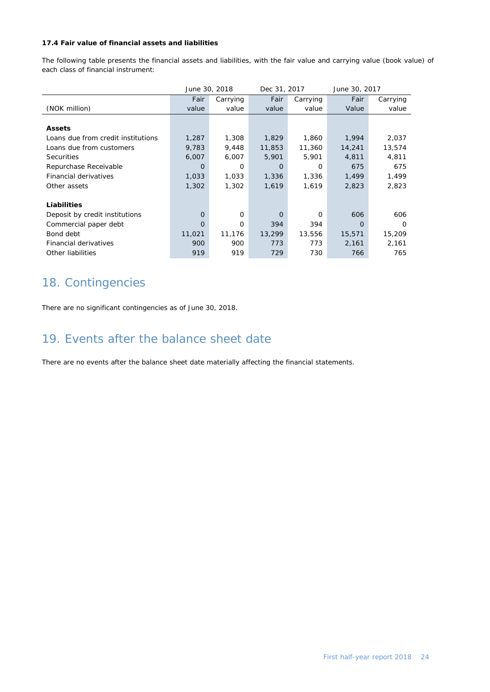### **17.4 Fair value of financial assets and liabilities**

The following table presents the financial assets and liabilities, with the fair value and carrying value (book value) of each class of financial instrument:

|                                    |        | June 30, 2018 | Dec 31, 2017 |          | June 30, 2017 |          |
|------------------------------------|--------|---------------|--------------|----------|---------------|----------|
|                                    | Fair   | Carrying      | Fair         | Carrying | Fair          | Carrying |
| (NOK million)                      | value  | value         | value        | value    | Value         | value    |
|                                    |        |               |              |          |               |          |
| <b>Assets</b>                      |        |               |              |          |               |          |
| Loans due from credit institutions | 1,287  | 1,308         | 1,829        | 1,860    | 1,994         | 2,037    |
| Loans due from customers           | 9,783  | 9,448         | 11,853       | 11,360   | 14,241        | 13,574   |
| <b>Securities</b>                  | 6,007  | 6,007         | 5,901        | 5,901    | 4,811         | 4,811    |
| Repurchase Receivable              | O      | $\Omega$      | O            | 0        | 675           | 675      |
| Financial derivatives              | 1,033  | 1,033         | 1,336        | 1,336    | 1,499         | 1,499    |
| Other assets                       | 1,302  | 1,302         | 1,619        | 1,619    | 2,823         | 2,823    |
|                                    |        |               |              |          |               |          |
| Liabilities                        |        |               |              |          |               |          |
| Deposit by credit institutions     | 0      | 0             | $\circ$      | 0        | 606           | 606      |
| Commercial paper debt              | 0      | 0             | 394          | 394      | O             | Ω        |
| Bond debt                          | 11,021 | 11,176        | 13,299       | 13,556   | 15,571        | 15,209   |
| Financial derivatives              | 900    | 900           | 773          | 773      | 2,161         | 2,161    |
| Other liabilities                  | 919    | 919           | 729          | 730      | 766           | 765      |

### 18. Contingencies

There are no significant contingencies as of June 30, 2018.

### 19. Events after the balance sheet date

There are no events after the balance sheet date materially affecting the financial statements.